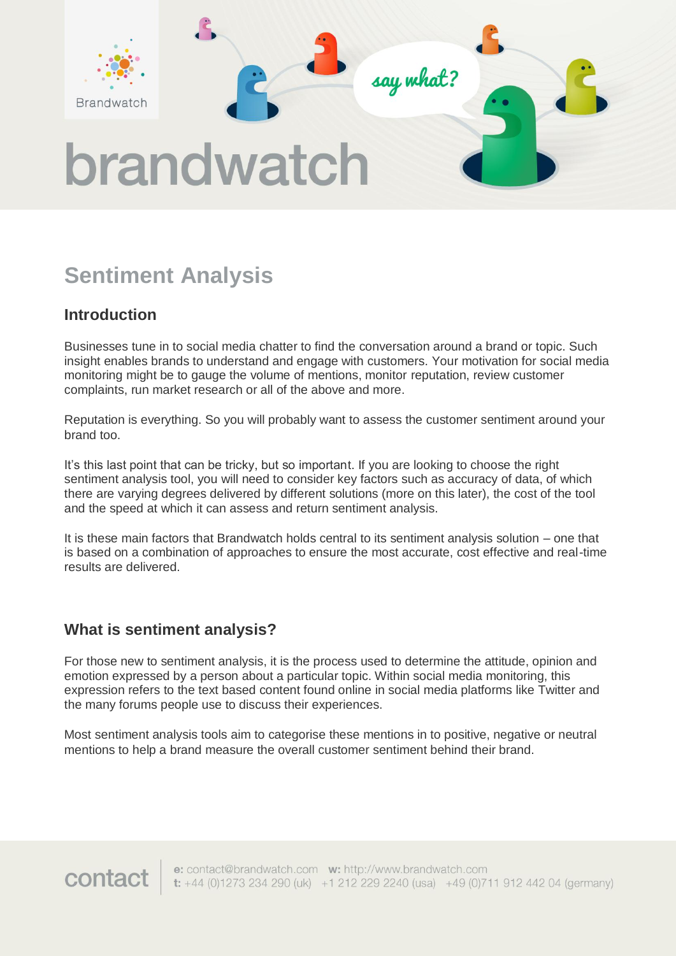

# **Sentiment Analysis**

## **Introduction**

Businesses tune in to social media chatter to find the conversation around a brand or topic. Such insight enables brands to understand and engage with customers. Your motivation for social media monitoring might be to gauge the volume of mentions, monitor reputation, review customer complaints, run market research or all of the above and more.

Reputation is everything. So you will probably want to assess the customer sentiment around your brand too.

It's this last point that can be tricky, but so important. If you are looking to choose the right sentiment analysis tool, you will need to consider key factors such as accuracy of data, of which there are varying degrees delivered by different solutions (more on this later), the cost of the tool and the speed at which it can assess and return sentiment analysis.

It is these main factors that Brandwatch holds central to its sentiment analysis solution – one that is based on a combination of approaches to ensure the most accurate, cost effective and real-time results are delivered.

#### **What is sentiment analysis?**

contact

For those new to sentiment analysis, it is the process used to determine the attitude, opinion and emotion expressed by a person about a particular topic. Within social media monitoring, this expression refers to the text based content found online in social media platforms like Twitter and the many forums people use to discuss their experiences.

Most sentiment analysis tools aim to categorise these mentions in to positive, negative or neutral mentions to help a brand measure the overall customer sentiment behind their brand.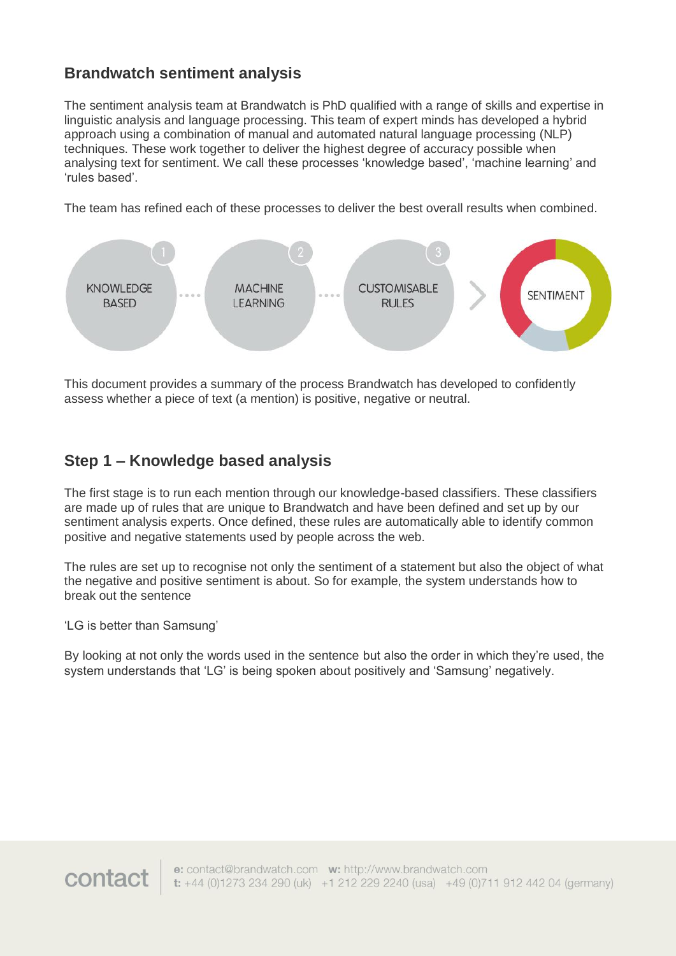#### **Brandwatch sentiment analysis**

The sentiment analysis team at Brandwatch is PhD qualified with a range of skills and expertise in linguistic analysis and language processing. This team of expert minds has developed a hybrid approach using a combination of manual and automated natural language processing (NLP) techniques. These work together to deliver the highest degree of accuracy possible when analysing text for sentiment. We call these processes 'knowledge based', 'machine learning' and 'rules based'.

The team has refined each of these processes to deliver the best overall results when combined.



This document provides a summary of the process Brandwatch has developed to confidently assess whether a piece of text (a mention) is positive, negative or neutral.

#### **Step 1 – Knowledge based analysis**

The first stage is to run each mention through our knowledge-based classifiers. These classifiers are made up of rules that are unique to Brandwatch and have been defined and set up by our sentiment analysis experts. Once defined, these rules are automatically able to identify common positive and negative statements used by people across the web.

The rules are set up to recognise not only the sentiment of a statement but also the object of what the negative and positive sentiment is about. So for example, the system understands how to break out the sentence

'LG is better than Samsung'

By looking at not only the words used in the sentence but also the order in which they're used, the system understands that 'LG' is being spoken about positively and 'Samsung' negatively.

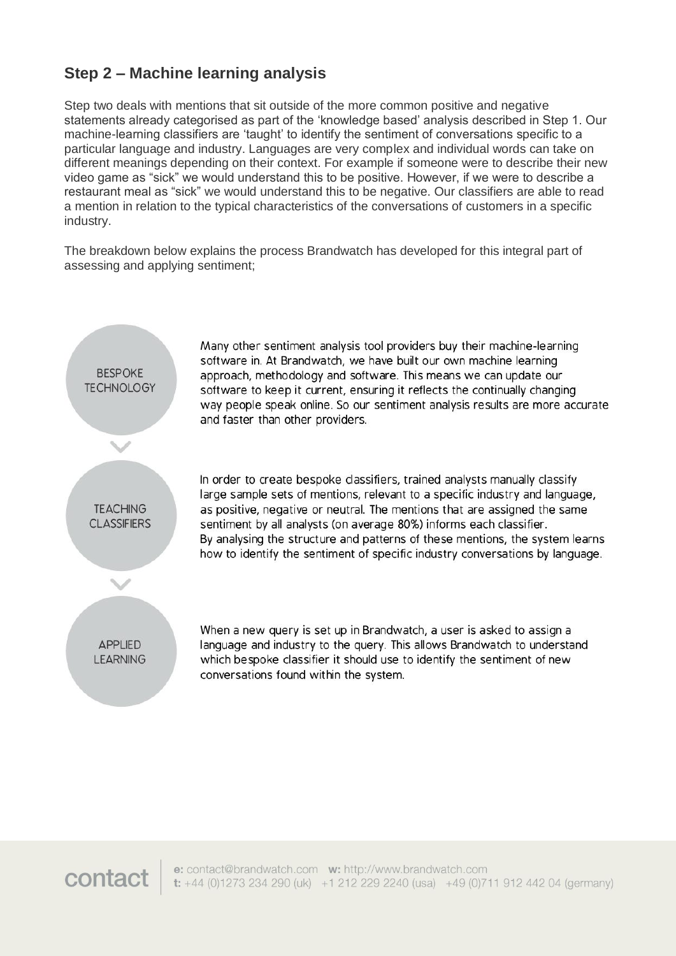#### **Step 2 – Machine learning analysis**

Step two deals with mentions that sit outside of the more common positive and negative statements already categorised as part of the 'knowledge based' analysis described in Step 1. Our machine-learning classifiers are 'taught' to identify the sentiment of conversations specific to a particular language and industry. Languages are very complex and individual words can take on different meanings depending on their context. For example if someone were to describe their new video game as "sick" we would understand this to be positive. However, if we were to describe a restaurant meal as "sick" we would understand this to be negative. Our classifiers are able to read a mention in relation to the typical characteristics of the conversations of customers in a specific industry.

The breakdown below explains the process Brandwatch has developed for this integral part of assessing and applying sentiment;



Many other sentiment analysis tool providers buy their machine-learning software in. At Brandwatch, we have built our own machine learning approach, methodology and software. This means we can update our software to keep it current, ensuring it reflects the continually changing way people speak online. So our sentiment analysis results are more accurate and faster than other providers.

In order to create bespoke classifiers, trained analysts manually classify large sample sets of mentions, relevant to a specific industry and language, as positive, negative or neutral. The mentions that are assigned the same sentiment by all analysts (on average 80%) informs each classifier. By analysing the structure and patterns of these mentions, the system learns how to identify the sentiment of specific industry conversations by language.

When a new query is set up in Brandwatch, a user is asked to assign a language and industry to the query. This allows Brandwatch to understand which bespoke classifier it should use to identify the sentiment of new conversations found within the system.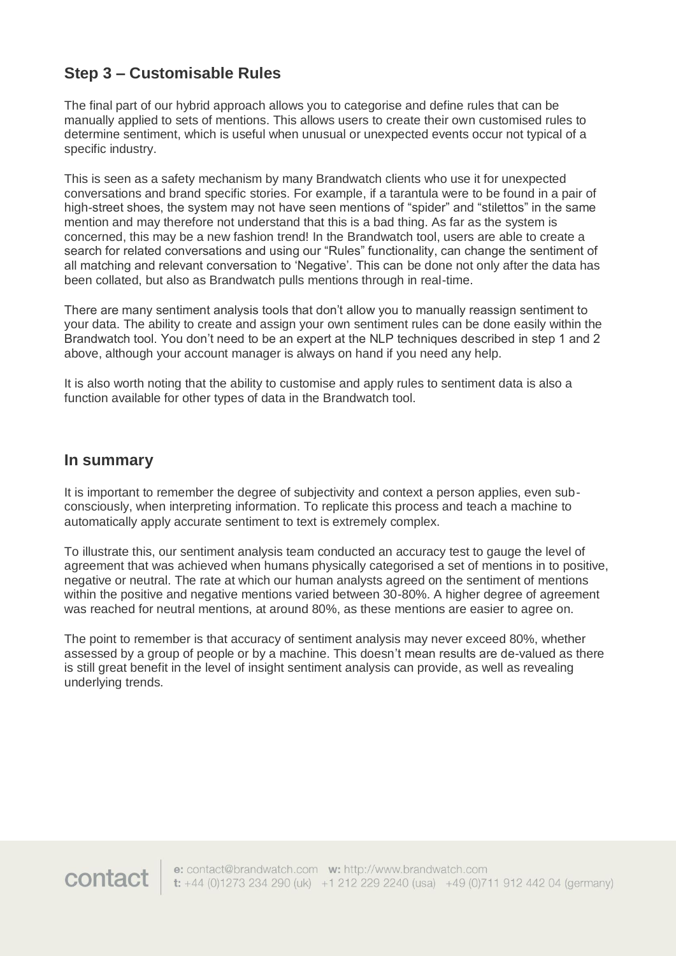### **Step 3 – Customisable Rules**

The final part of our hybrid approach allows you to categorise and define rules that can be manually applied to sets of mentions. This allows users to create their own customised rules to determine sentiment, which is useful when unusual or unexpected events occur not typical of a specific industry.

This is seen as a safety mechanism by many Brandwatch clients who use it for unexpected conversations and brand specific stories. For example, if a tarantula were to be found in a pair of high-street shoes, the system may not have seen mentions of "spider" and "stilettos" in the same mention and may therefore not understand that this is a bad thing. As far as the system is concerned, this may be a new fashion trend! In the Brandwatch tool, users are able to create a search for related conversations and using our "Rules" functionality, can change the sentiment of all matching and relevant conversation to 'Negative'. This can be done not only after the data has been collated, but also as Brandwatch pulls mentions through in real-time.

There are many sentiment analysis tools that don't allow you to manually reassign sentiment to your data. The ability to create and assign your own sentiment rules can be done easily within the Brandwatch tool. You don't need to be an expert at the NLP techniques described in step 1 and 2 above, although your account manager is always on hand if you need any help.

It is also worth noting that the ability to customise and apply rules to sentiment data is also a function available for other types of data in the Brandwatch tool.

#### **In summary**

It is important to remember the degree of subjectivity and context a person applies, even subconsciously, when interpreting information. To replicate this process and teach a machine to automatically apply accurate sentiment to text is extremely complex.

To illustrate this, our sentiment analysis team conducted an accuracy test to gauge the level of agreement that was achieved when humans physically categorised a set of mentions in to positive, negative or neutral. The rate at which our human analysts agreed on the sentiment of mentions within the positive and negative mentions varied between 30-80%. A higher degree of agreement was reached for neutral mentions, at around 80%, as these mentions are easier to agree on.

The point to remember is that accuracy of sentiment analysis may never exceed 80%, whether assessed by a group of people or by a machine. This doesn't mean results are de-valued as there is still great benefit in the level of insight sentiment analysis can provide, as well as revealing underlying trends.